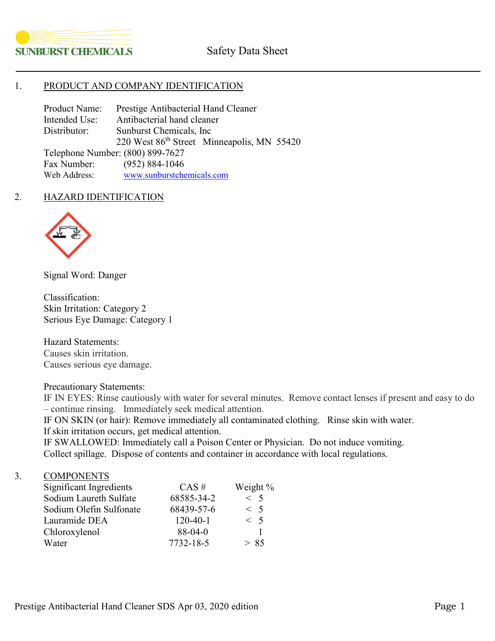

## 1. PRODUCT AND COMPANY IDENTIFICATION

Product Name: Prestige Antibacterial Hand Cleaner Intended Use: Antibacterial hand cleaner Distributor: Sunburst Chemicals, Inc 220 West 86<sup>th</sup> Street Minneapolis, MN 55420 Telephone Number: (800) 899-7627 Fax Number: (952) 884-1046<br>Web Address: www.sunburstche [www.sunburstchemicals.com](http://www.sunburstchemicals.com/)

## 2. HAZARD IDENTIFICATION



Signal Word: Danger

Classification: Skin Irritation: Category 2 Serious Eye Damage: Category 1

Hazard Statements: Causes skin irritation. Causes serious eye damage.

Precautionary Statements:

IF IN EYES: Rinse cautiously with water for several minutes. Remove contact lenses if present and easy to do – continue rinsing. Immediately seek medical attention.

IF ON SKIN (or hair): Remove immediately all contaminated clothing. Rinse skin with water. If skin irritation occurs, get medical attention.

IF SWALLOWED: Immediately call a Poison Center or Physician. Do not induce vomiting. Collect spillage. Dispose of contents and container in accordance with local regulations.

## 3. COMPONENTS

| Significant Ingredients | $CAS \#$   | Weight % |
|-------------------------|------------|----------|
| Sodium Laureth Sulfate  | 68585-34-2 | $<$ 5    |
| Sodium Olefin Sulfonate | 68439-57-6 | $\leq 5$ |
| Lauramide DEA           | $120-40-1$ | < 5      |
| Chloroxylenol           | $88-04-0$  |          |
| Water                   | 7732-18-5  | > 85     |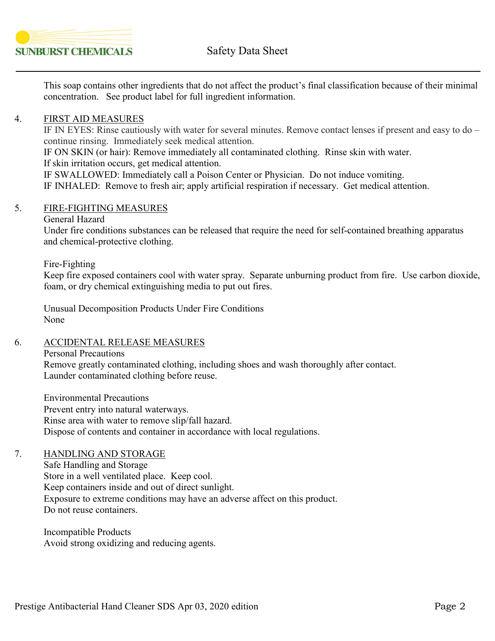

This soap contains other ingredients that do not affect the product's final classification because of their minimal concentration. See product label for full ingredient information.

# 4. FIRST AID MEASURES

IF IN EYES: Rinse cautiously with water for several minutes. Remove contact lenses if present and easy to do – continue rinsing. Immediately seek medical attention.

IF ON SKIN (or hair): Remove immediately all contaminated clothing. Rinse skin with water. If skin irritation occurs, get medical attention.

IF SWALLOWED: Immediately call a Poison Center or Physician. Do not induce vomiting.

IF INHALED: Remove to fresh air; apply artificial respiration if necessary. Get medical attention.

# 5. FIRE-FIGHTING MEASURES

#### General Hazard

Under fire conditions substances can be released that require the need for self-contained breathing apparatus and chemical-protective clothing.

Fire-Fighting

Keep fire exposed containers cool with water spray. Separate unburning product from fire. Use carbon dioxide, foam, or dry chemical extinguishing media to put out fires.

Unusual Decomposition Products Under Fire Conditions None

# 6. ACCIDENTAL RELEASE MEASURES

## Personal Precautions

Remove greatly contaminated clothing, including shoes and wash thoroughly after contact. Launder contaminated clothing before reuse.

Environmental Precautions Prevent entry into natural waterways. Rinse area with water to remove slip/fall hazard. Dispose of contents and container in accordance with local regulations.

# 7. HANDLING AND STORAGE

Safe Handling and Storage Store in a well ventilated place. Keep cool. Keep containers inside and out of direct sunlight. Exposure to extreme conditions may have an adverse affect on this product. Do not reuse containers.

Incompatible Products Avoid strong oxidizing and reducing agents.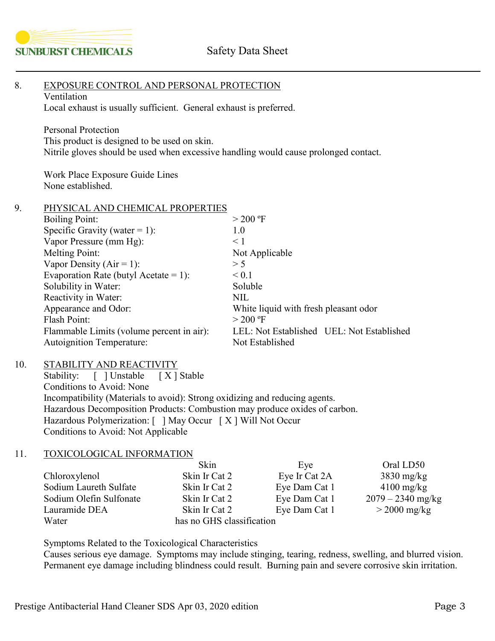

| 8.  | EXPOSURE CONTROL AND PERSONAL PROTECTION<br>Ventilation<br>Local exhaust is usually sufficient. General exhaust is preferred.                                                                                                                                                                                                                                        |                                                                                                       |                                                                                                                                                                                |  |                                                                                    |  |
|-----|----------------------------------------------------------------------------------------------------------------------------------------------------------------------------------------------------------------------------------------------------------------------------------------------------------------------------------------------------------------------|-------------------------------------------------------------------------------------------------------|--------------------------------------------------------------------------------------------------------------------------------------------------------------------------------|--|------------------------------------------------------------------------------------|--|
|     | <b>Personal Protection</b><br>This product is designed to be used on skin.<br>Nitrile gloves should be used when excessive handling would cause prolonged contact.                                                                                                                                                                                                   |                                                                                                       |                                                                                                                                                                                |  |                                                                                    |  |
|     | Work Place Exposure Guide Lines<br>None established.                                                                                                                                                                                                                                                                                                                 |                                                                                                       |                                                                                                                                                                                |  |                                                                                    |  |
| 9.  | PHYSICAL AND CHEMICAL PROPERTIES<br><b>Boiling Point:</b><br>Specific Gravity (water = 1):<br>Vapor Pressure (mm Hg):                                                                                                                                                                                                                                                |                                                                                                       | $> 200$ °F<br>1.0<br>$\leq 1$                                                                                                                                                  |  |                                                                                    |  |
|     | <b>Melting Point:</b><br>Vapor Density ( $Air = 1$ ):<br>Evaporation Rate (butyl Acetate = 1):<br>Solubility in Water:<br>Reactivity in Water:<br>Appearance and Odor:<br>Flash Point:<br>Flammable Limits (volume percent in air):<br><b>Autoignition Temperature:</b>                                                                                              |                                                                                                       | Not Applicable<br>> 5<br>< 0.1<br>Soluble<br><b>NIL</b><br>White liquid with fresh pleasant odor<br>$>$ 200 °F<br>LEL: Not Established UEL: Not Established<br>Not Established |  |                                                                                    |  |
| 10. | STABILITY AND REACTIVITY<br>[ ] Unstable<br>Stability:<br>[X ] Stable<br>Conditions to Avoid: None<br>Incompatibility (Materials to avoid): Strong oxidizing and reducing agents.<br>Hazardous Decomposition Products: Combustion may produce oxides of carbon.<br>Hazardous Polymerization: [ ] May Occur [X] Will Not Occur<br>Conditions to Avoid: Not Applicable |                                                                                                       |                                                                                                                                                                                |  |                                                                                    |  |
| 11. | TOXICOLOGICAL INFORMATION                                                                                                                                                                                                                                                                                                                                            |                                                                                                       |                                                                                                                                                                                |  |                                                                                    |  |
|     | Chloroxylenol<br>Sodium Laureth Sulfate<br>Sodium Olefin Sulfonate<br>Lauramide DEA<br>Water                                                                                                                                                                                                                                                                         | Skin<br>Skin Ir Cat 2<br>Skin Ir Cat 2<br>Skin Ir Cat 2<br>Skin Ir Cat 2<br>has no GHS classification | Eye<br>Eye Ir Cat 2A<br>Eye Dam Cat 1<br>Eye Dam Cat 1<br>Eye Dam Cat 1                                                                                                        |  | Oral LD50<br>$3830$ mg/kg<br>$4100$ mg/kg<br>$2079 - 2340$ mg/kg<br>$>$ 2000 mg/kg |  |
|     | Symptoms Related to the Toxicological Characteristics                                                                                                                                                                                                                                                                                                                |                                                                                                       |                                                                                                                                                                                |  |                                                                                    |  |

Causes serious eye damage. Symptoms may include stinging, tearing, redness, swelling, and blurred vision. Permanent eye damage including blindness could result. Burning pain and severe corrosive skin irritation.